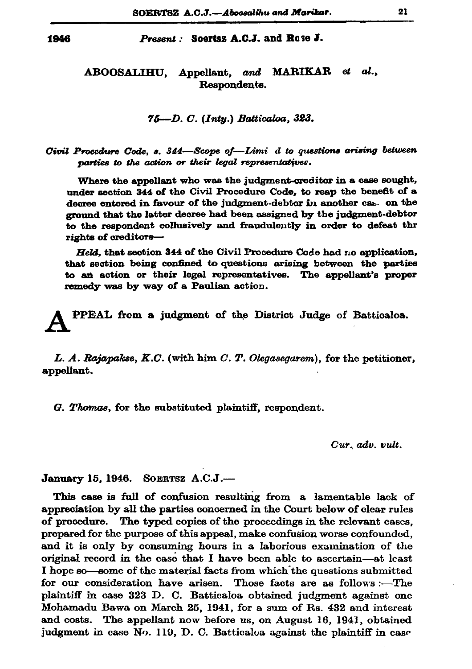## Present: Scertsz A.C.J. and Rose J.

## ABOOSALIHU, Appellant, and MARIKAR et al., Respondents.

75-D. C. (Inty.) Batticaloa, 323.

Civil Procedure Code. s. 344–Scope of-Limi d to questions arising between parties to the action or their legal representatives.

Where the appellant who was the judgment-creditor in a case sought, under section 344 of the Civil Procedure Code, to reap the benefit of a decree entered in favour of the judgment-debtor in another cas. on the ground that the latter decree had been assigned by the judgment-debtor to the respondent collusively and fraudulently in order to defeat thr rights of creditors-

Held. that section 344 of the Civil Procedure Code had no application, that section being confined to questions arising between the parties to an action or their legal representatives. The appellant's proper remedy was by way of a Paulian action.

PPEAL from a judgment of the District Judge of Batticaloa.

L. A. Rajapakse,  $K.C.$  (with him  $C.$   $T.$  Olegasegarem), for the petitioner, appellant.

G. Thomas, for the substituted plaintiff, respondent.

Cur. adv. vult.

January 15, 1946. SOERTSZ A.C.J.-

This case is full of confusion resulting from a lamentable lack of appreciation by all the parties concerned in the Court below of clear rules of procedure. The typed copies of the proceedings in the relevant cases, prepared for the purpose of this appeal, make confusion worse confounded, and it is only by consuming hours in a laborious examination of the original record in the case that I have been able to ascertain-at least I hope so—some of the material facts from which the questions submitted for our consideration have arisen. Those facts are as follows :- The plaintiff in case 323 D. C. Batticaloa obtained judgment against one Mohamadu Bawa on March 25, 1941, for a sum of Rs. 432 and interest and costs. The appellant now before us, on August 16, 1941, obtained judgment in case No. 119, D. C. Batticaloa against the plaintiff in case

1946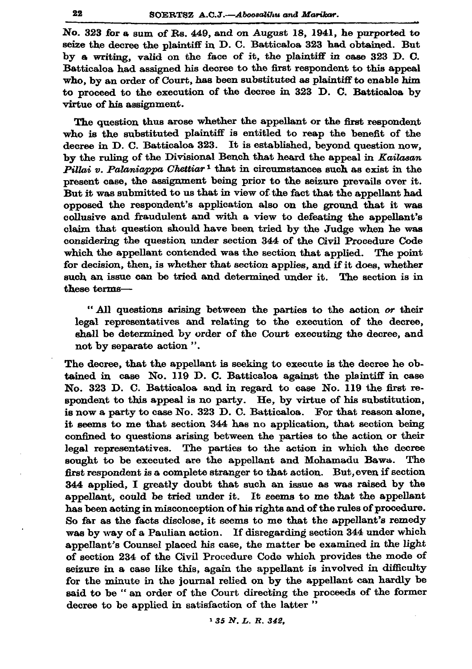No. 323 for a sum of Rs. 449, and on August 18, 1941, he purported to seize the decree the plaintiff in D. C. Batticaloa 323 had obtained. But by a writing, valid on the face of it, the plaintiff in case 323 D.C. Batticaloa had assigned his decree to the first respondent to this appeal who, by an order of Court, has been substituted as plaintiff to enable him to proceed to the execution of the decree in 323 D. C. Batticaloa by virtue of his assignment.

The question thus arose whether the appellant or the first respondent who is the substituted plaintiff is entitled to reap the benefit of the decree in D. C. Batticaloa 323. It is established, beyond question now, by the ruling of the Divisional Bench that heard the appeal in Kailasan Pillai v. Palaniappa Chettiar<sup>1</sup> that in circumstances such as exist in the present case, the assignment being prior to the seizure prevails over it. But it was submitted to us that in view of the fact that the appellant had opposed the respondent's application also on the ground that it was collusive and fraudulent and with a view to defeating the appellant's claim that question should have been tried by the Judge when he was considering the question under section 344 of the Civil Procedure Code which the appellant contended was the section that applied. The point for decision, then, is whether that section applies, and if it does, whether such an issue can be tried and determined under it. The section is in these terms-

"All questions arising between the parties to the action or their legal representatives and relating to the execution of the decree, shall be determined by order of the Court executing the decree, and not by separate action".

The decree, that the appellant is seeking to execute is the decree he obtained in case No. 119 D. C. Batticaloa against the plaintiff in case No. 323 D. C. Batticaloa and in regard to case No. 119 the first respondent to this appeal is no party. He, by virtue of his substitution, is now a party to case No. 323 D. C. Batticaloa. For that reason alone, it seems to me that section 344 has no application, that section being confined to questions arising between the parties to the action or their legal representatives. The parties to the action in which the decree sought to be executed are the appellant and Mohamadu Bawa. The first respondent is a complete stranger to that action. But, even if section 344 applied, I greatly doubt that such an issue as was raised by the appellant, could be tried under it. It seems to me that the appellant has been acting in misconception of his rights and of the rules of procedure. So far as the facts disclose, it seems to me that the appellant's remedy was by way of a Paulian action. If disregarding section 344 under which appellant's Counsel placed his case, the matter be examined in the light of section 234 of the Civil Procedure Code which provides the mode of seizure in a case like this, again the appellant is involved in difficulty for the minute in the journal relied on by the appellant can hardly be said to be "an order of the Court directing the proceeds of the former decree to be applied in satisfaction of the latter"

<sup>1</sup> 35 N.L.R. 342,